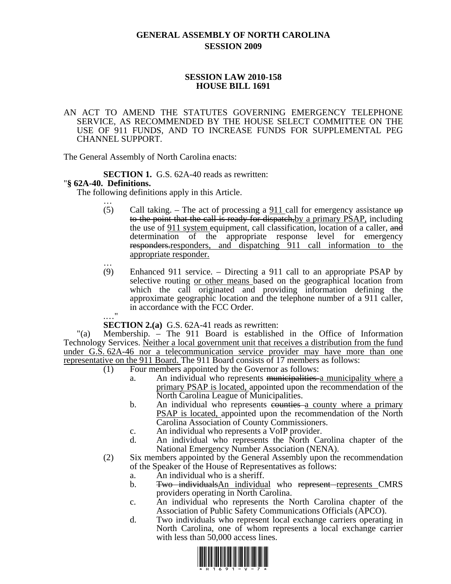# **GENERAL ASSEMBLY OF NORTH CAROLINA SESSION 2009**

### **SESSION LAW 2010-158 HOUSE BILL 1691**

#### AN ACT TO AMEND THE STATUTES GOVERNING EMERGENCY TELEPHONE SERVICE, AS RECOMMENDED BY THE HOUSE SELECT COMMITTEE ON THE USE OF 911 FUNDS, AND TO INCREASE FUNDS FOR SUPPLEMENTAL PEG CHANNEL SUPPORT.

The General Assembly of North Carolina enacts:

**SECTION 1.** G.S. 62A-40 reads as rewritten: "**§ 62A-40. Definitions.** 

The following definitions apply in this Article. …

- (5) Call taking. The act of processing a  $911$  call for emergency assistance  $up$ to the point that the call is ready for dispatch, by a primary PSAP, including the use of 911 system equipment, call classification, location of a caller, and determination of the appropriate response level for emergency responders.responders, and dispatching 911 call information to the appropriate responder. …
- (9) Enhanced 911 service. Directing a 911 call to an appropriate PSAP by selective routing or other means based on the geographical location from which the call originated and providing information defining the approximate geographic location and the telephone number of a 911 caller, in accordance with the FCC Order.

.…" **SECTION 2.(a)** G.S. 62A-41 reads as rewritten:

"(a) Membership. – The 911 Board is established in the Office of Information Technology Services. Neither a local government unit that receives a distribution from the fund under G.S. 62A-46 nor a telecommunication service provider may have more than one representative on the 911 Board. The 911 Board consists of 17 members as follows:

- (1) Four members appointed by the Governor as follows:
	- a. An individual who represents municipalities a municipality where a primary PSAP is located, appointed upon the recommendation of the North Carolina League of Municipalities.
	- b. An individual who represents equation- A county where a primary PSAP is located, appointed upon the recommendation of the North Carolina Association of County Commissioners.
	- c. An individual who represents a VoIP provider.
	- d. An individual who represents the North Carolina chapter of the National Emergency Number Association (NENA).
- (2) Six members appointed by the General Assembly upon the recommendation of the Speaker of the House of Representatives as follows:
	- a. An individual who is a sheriff.
	- b. Two individuals An individual who represent represents CMRS providers operating in North Carolina.
	- c. An individual who represents the North Carolina chapter of the Association of Public Safety Communications Officials (APCO).
	- d. Two individuals who represent local exchange carriers operating in North Carolina, one of whom represents a local exchange carrier with less than 50,000 access lines.

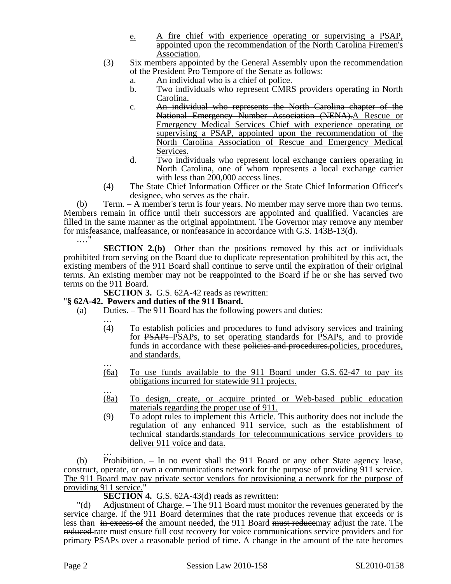- e. A fire chief with experience operating or supervising a PSAP, appointed upon the recommendation of the North Carolina Firemen's Association.
- (3) Six members appointed by the General Assembly upon the recommendation of the President Pro Tempore of the Senate as follows:
	- a. An individual who is a chief of police.
	- b. Two individuals who represent CMRS providers operating in North Carolina.
	- c. An individual who represents the North Carolina chapter of the National Emergency Number Association (NENA). A Rescue or Emergency Medical Services Chief with experience operating or supervising a PSAP, appointed upon the recommendation of the North Carolina Association of Rescue and Emergency Medical Services.
	- d. Two individuals who represent local exchange carriers operating in North Carolina, one of whom represents a local exchange carrier with less than 200,000 access lines.
- (4) The State Chief Information Officer or the State Chief Information Officer's designee, who serves as the chair.

(b) Term. – A member's term is four years. No member may serve more than two terms. Members remain in office until their successors are appointed and qualified. Vacancies are filled in the same manner as the original appointment. The Governor may remove any member for misfeasance, malfeasance, or nonfeasance in accordance with G.S. 143B-13(d). .…"

**SECTION 2.(b)** Other than the positions removed by this act or individuals prohibited from serving on the Board due to duplicate representation prohibited by this act, the existing members of the 911 Board shall continue to serve until the expiration of their original terms. An existing member may not be reappointed to the Board if he or she has served two terms on the 911 Board.

**SECTION 3.** G.S. 62A-42 reads as rewritten:

## "**§ 62A-42. Powers and duties of the 911 Board.**

- (a) Duties. The 911 Board has the following powers and duties:
	- … (4) To establish policies and procedures to fund advisory services and training for PSAPs PSAPs, to set operating standards for PSAPs, and to provide funds in accordance with these policies and procedures, policies, procedures, and standards. …
	- (6a) To use funds available to the 911 Board under G.S. 62-47 to pay its obligations incurred for statewide 911 projects. …
	- (8a) To design, create, or acquire printed or Web-based public education materials regarding the proper use of 911.
	- (9) To adopt rules to implement this Article. This authority does not include the regulation of any enhanced 911 service, such as the establishment of technical standards standards for telecommunications service providers to deliver 911 voice and data.

(b) Prohibition. – In no event shall the 911 Board or any other State agency lease, construct, operate, or own a communications network for the purpose of providing 911 service. The 911 Board may pay private sector vendors for provisioning a network for the purpose of providing 911 service.

**SECTION 4.** G.S. 62A-43(d) reads as rewritten:

"(d) Adjustment of Charge. – The 911 Board must monitor the revenues generated by the service charge. If the 911 Board determines that the rate produces revenue that exceeds or is less than in excess of the amount needed, the 911 Board must reducemay adjust the rate. The reduced rate must ensure full cost recovery for voice communications service providers and for primary PSAPs over a reasonable period of time. A change in the amount of the rate becomes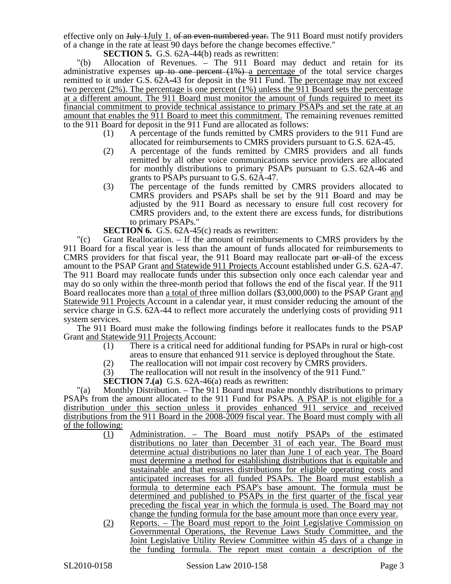effective only on July 1July 1. of an even-numbered year. The 911 Board must notify providers of a change in the rate at least 90 days before the change becomes effective."

**SECTION 5.** G.S. 62A-44(b) reads as rewritten:

"(b) Allocation of Revenues. – The 911 Board may deduct and retain for its administrative expenses  $up$  to one percent  $(1%)$  a percentage of the total service charges remitted to it under G.S. 62A-43 for deposit in the 911 Fund. The percentage may not exceed two percent (2%). The percentage is one percent (1%) unless the 911 Board sets the percentage at a different amount. The 911 Board must monitor the amount of funds required to meet its financial commitment to provide technical assistance to primary PSAPs and set the rate at an amount that enables the 911 Board to meet this commitment. The remaining revenues remitted to the 911 Board for deposit in the 911 Fund are allocated as follows:

- (1) A percentage of the funds remitted by CMRS providers to the 911 Fund are allocated for reimbursements to CMRS providers pursuant to G.S. 62A-45.
- (2) A percentage of the funds remitted by CMRS providers and all funds remitted by all other voice communications service providers are allocated for monthly distributions to primary PSAPs pursuant to G.S. 62A-46 and grants to PSAPs pursuant to G.S. 62A-47.
- (3) The percentage of the funds remitted by CMRS providers allocated to CMRS providers and PSAPs shall be set by the 911 Board and may be adjusted by the 911 Board as necessary to ensure full cost recovery for CMRS providers and, to the extent there are excess funds, for distributions to primary PSAPs."
- **SECTION 6.** G.S. 62A-45(c) reads as rewritten:

"(c) Grant Reallocation. – If the amount of reimbursements to CMRS providers by the 911 Board for a fiscal year is less than the amount of funds allocated for reimbursements to CMRS providers for that fiscal year, the 911 Board may reallocate part or all of the excess amount to the PSAP Grant and Statewide 911 Projects Account established under G.S. 62A-47. The 911 Board may reallocate funds under this subsection only once each calendar year and may do so only within the three-month period that follows the end of the fiscal year. If the 911 Board reallocates more than a total of three million dollars (\$3,000,000) to the PSAP Grant and Statewide 911 Projects Account in a calendar year, it must consider reducing the amount of the service charge in G.S. 62A-44 to reflect more accurately the underlying costs of providing 911 system services.

The 911 Board must make the following findings before it reallocates funds to the PSAP Grant and Statewide 911 Projects Account:

- (1) There is a critical need for additional funding for PSAPs in rural or high-cost areas to ensure that enhanced 911 service is deployed throughout the State.
- (2) The reallocation will not impair cost recovery by CMRS providers.
- (3) The reallocation will not result in the insolvency of the 911 Fund."

**SECTION 7.(a)** G.S. 62A-46(a) reads as rewritten:

"(a) Monthly Distribution. – The 911 Board must make monthly distributions to primary PSAPs from the amount allocated to the 911 Fund for PSAPs. A PSAP is not eligible for a distribution under this section unless it provides enhanced 911 service and received distributions from the 911 Board in the 2008-2009 fiscal year. The Board must comply with all of the following:

- (1) Administration. The Board must notify PSAPs of the estimated distributions no later than December 31 of each year. The Board must determine actual distributions no later than June 1 of each year. The Board must determine a method for establishing distributions that is equitable and sustainable and that ensures distributions for eligible operating costs and anticipated increases for all funded PSAPs. The Board must establish a formula to determine each PSAP's base amount. The formula must be determined and published to PSAPs in the first quarter of the fiscal year preceding the fiscal year in which the formula is used. The Board may not change the funding formula for the base amount more than once every year.
- (2) Reports. The Board must report to the Joint Legislative Commission on Governmental Operations, the Revenue Laws Study Committee, and the Joint Legislative Utility Review Committee within 45 days of a change in the funding formula. The report must contain a description of the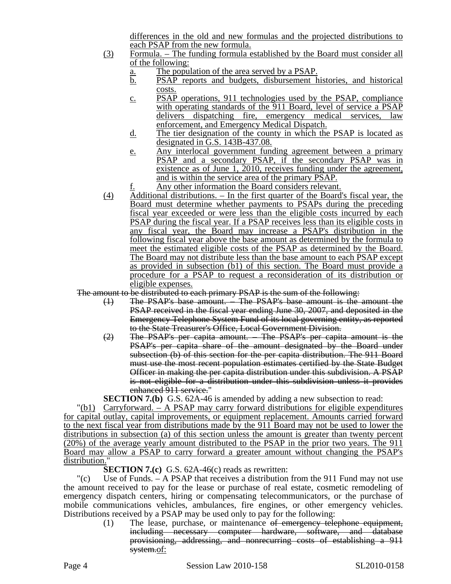differences in the old and new formulas and the projected distributions to each PSAP from the new formula.

- (3) Formula. The funding formula established by the Board must consider all of the following:
	- a. The population of the area served by a PSAP.
	- b. PSAP reports and budgets, disbursement histories, and historical costs.
	- c. PSAP operations, 911 technologies used by the PSAP, compliance with operating standards of the 911 Board, level of service a PSAP delivers dispatching fire, emergency medical services, law enforcement, and Emergency Medical Dispatch.
	- d. The tier designation of the county in which the PSAP is located as designated in G.S. 143B-437.08.
	- e. Any interlocal government funding agreement between a primary PSAP and a secondary PSAP, if the secondary PSAP was in existence as of June 1, 2010, receives funding under the agreement, and is within the service area of the primary PSAP.
	- Any other information the Board considers relevant.
- (4) Additional distributions. In the first quarter of the Board's fiscal year, the Board must determine whether payments to PSAPs during the preceding fiscal year exceeded or were less than the eligible costs incurred by each PSAP during the fiscal year. If a PSAP receives less than its eligible costs in any fiscal year, the Board may increase a PSAP's distribution in the following fiscal year above the base amount as determined by the formula to meet the estimated eligible costs of the PSAP as determined by the Board. The Board may not distribute less than the base amount to each PSAP except as provided in subsection (b1) of this section. The Board must provide a procedure for a PSAP to request a reconsideration of its distribution or eligible expenses.

The amount to be distributed to each primary PSAP is the sum of the following:

- (1) The PSAP's base amount. The PSAP's base amount is the amount the PSAP received in the fiscal year ending June 30, 2007, and deposited in the Emergency Telephone System Fund of its local governing entity, as reported to the State Treasurer's Office, Local Government Division.
- (2) The PSAP's per capita amount. The PSAP's per capita amount is the PSAP's per capita share of the amount designated by the Board under subsection (b) of this section for the per capita distribution. The 911 Board must use the most recent population estimates certified by the State Budget Officer in making the per capita distribution under this subdivision. A PSAP is not eligible for a distribution under this subdivision unless it provides enhanced 911 service."

**SECTION 7.(b)** G.S. 62A-46 is amended by adding a new subsection to read:

"(b1) Carryforward. – A PSAP may carry forward distributions for eligible expenditures for capital outlay, capital improvements, or equipment replacement. Amounts carried forward to the next fiscal year from distributions made by the 911 Board may not be used to lower the distributions in subsection (a) of this section unless the amount is greater than twenty percent (20%) of the average yearly amount distributed to the PSAP in the prior two years. The 911 Board may allow a PSAP to carry forward a greater amount without changing the PSAP's distribution.

**SECTION 7.(c)** G.S. 62A-46(c) reads as rewritten:

"(c) Use of Funds. – A PSAP that receives a distribution from the 911 Fund may not use the amount received to pay for the lease or purchase of real estate, cosmetic remodeling of emergency dispatch centers, hiring or compensating telecommunicators, or the purchase of mobile communications vehicles, ambulances, fire engines, or other emergency vehicles. Distributions received by a PSAP may be used only to pay for the following:

(1) The lease, purchase, or maintenance of emergency telephone equipment, including necessary computer hardware, software, and database provisioning, addressing, and nonrecurring costs of establishing a 911 system.of: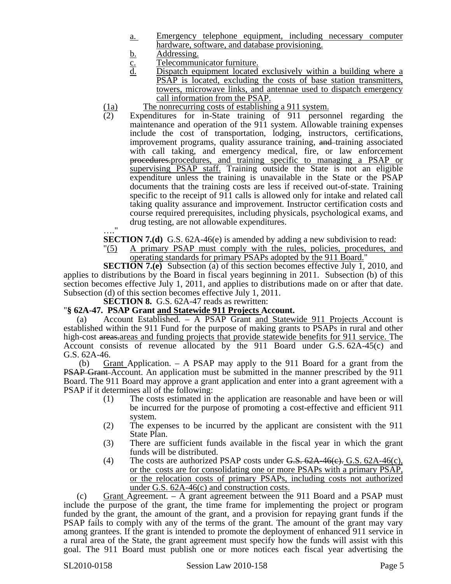- a. Emergency telephone equipment, including necessary computer hardware, software, and database provisioning.
- 
- <u>b.</u> Addressing.<br>
<u>C.</u> Telecommun<br>
d. Dispatch eq Telecommunicator furniture.
- Dispatch equipment located exclusively within a building where a PSAP is located, excluding the costs of base station transmitters, towers, microwave links, and antennae used to dispatch emergency call information from the PSAP.
- $\frac{(1a)}{(2)}$  The nonrecurring costs of establishing a 911 system.<br>(2) Expenditures for in-State training of 911 person
- Expenditures for in-State training of 911 personnel regarding the maintenance and operation of the 911 system. Allowable training expenses include the cost of transportation, lodging, instructors, certifications, improvement programs, quality assurance training, and training associated with call taking, and emergency medical, fire, or law enforcement procedures.procedures, and training specific to managing a PSAP or supervising PSAP staff. Training outside the State is not an eligible expenditure unless the training is unavailable in the State or the PSAP documents that the training costs are less if received out-of-state. Training specific to the receipt of 911 calls is allowed only for intake and related call taking quality assurance and improvement. Instructor certification costs and course required prerequisites, including physicals, psychological exams, and drug testing, are not allowable expenditures.
- …."

**SECTION 7.(d)** G.S. 62A-46(e) is amended by adding a new subdivision to read:

"(5) A primary PSAP must comply with the rules, policies, procedures, and operating standards for primary PSAPs adopted by the 911 Board."

**SECTION 7.(e)** Subsection (a) of this section becomes effective July 1, 2010, and applies to distributions by the Board in fiscal years beginning in 2011. Subsection (b) of this section becomes effective July 1, 2011, and applies to distributions made on or after that date. Subsection (d) of this section becomes effective July 1, 2011.

**SECTION 8.** G.S. 62A-47 reads as rewritten:

#### "**§ 62A-47. PSAP Grant and Statewide 911 Projects Account.**

(a) Account Established. – A PSAP Grant and Statewide 911 Projects Account is established within the 911 Fund for the purpose of making grants to PSAPs in rural and other high-cost areas, areas and funding projects that provide statewide benefits for 911 service. The Account consists of revenue allocated by the 911 Board under G.S. 62A-45(c) and G.S. 62A-46.

 (b) Grant Application. – A PSAP may apply to the 911 Board for a grant from the **PSAP Grant-Account.** An application must be submitted in the manner prescribed by the 911 Board. The 911 Board may approve a grant application and enter into a grant agreement with a PSAP if it determines all of the following:

- (1) The costs estimated in the application are reasonable and have been or will be incurred for the purpose of promoting a cost-effective and efficient 911 system.
- (2) The expenses to be incurred by the applicant are consistent with the 911 State Plan.
- (3) There are sufficient funds available in the fiscal year in which the grant funds will be distributed.
- (4) The costs are authorized PSAP costs under  $G.S. 62A-46(e)$ , G.S.  $62A-46(e)$ , or the costs are for consolidating one or more PSAPs with a primary PSAP, or the relocation costs of primary PSAPs, including costs not authorized under G.S. 62A-46(c) and construction costs.

(c) Grant Agreement. – A grant agreement between the 911 Board and a PSAP must include the purpose of the grant, the time frame for implementing the project or program funded by the grant, the amount of the grant, and a provision for repaying grant funds if the PSAP fails to comply with any of the terms of the grant. The amount of the grant may vary among grantees. If the grant is intended to promote the deployment of enhanced 911 service in a rural area of the State, the grant agreement must specify how the funds will assist with this goal. The 911 Board must publish one or more notices each fiscal year advertising the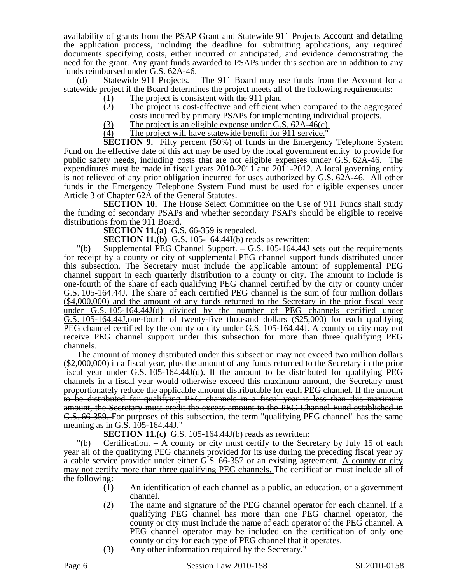availability of grants from the PSAP Grant and Statewide 911 Projects Account and detailing the application process, including the deadline for submitting applications, any required documents specifying costs, either incurred or anticipated, and evidence demonstrating the need for the grant. Any grant funds awarded to PSAPs under this section are in addition to any funds reimbursed under G.S. 62A-46.

(d) Statewide 911 Projects. – The 911 Board may use funds from the Account for a statewide project if the Board determines the project meets all of the following requirements:

- $\frac{(1)}{(2)}$  The project is consistent with the 911 plan.<br>The project is cost-effective and efficient
- The project is cost-effective and efficient when compared to the aggregated costs incurred by primary PSAPs for implementing individual projects.
- (3) The project is an eligible expense under G.S.  $62A-46(c)$ .<br>
(4) The project will have statewide benefit for 911 service."
- The project will have statewide benefit for 911 service."

**SECTION 9.** Fifty percent (50%) of funds in the Emergency Telephone System Fund on the effective date of this act may be used by the local government entity to provide for public safety needs, including costs that are not eligible expenses under G.S. 62A-46. The expenditures must be made in fiscal years 2010-2011 and 2011-2012. A local governing entity is not relieved of any prior obligation incurred for uses authorized by G.S. 62A-46. All other funds in the Emergency Telephone System Fund must be used for eligible expenses under Article 3 of Chapter 62A of the General Statutes.

**SECTION 10.** The House Select Committee on the Use of 911 Funds shall study the funding of secondary PSAPs and whether secondary PSAPs should be eligible to receive distributions from the 911 Board.

**SECTION 11.(a)** G.S. 66-359 is repealed.

**SECTION 11.(b)** G.S. 105-164.44I(b) reads as rewritten:

"(b) Supplemental PEG Channel Support. – G.S. 105-164.44J sets out the requirements for receipt by a county or city of supplemental PEG channel support funds distributed under this subsection. The Secretary must include the applicable amount of supplemental PEG channel support in each quarterly distribution to a county or city. The amount to include is one-fourth of the share of each qualifying PEG channel certified by the city or county under G.S. 105-164.44J. The share of each certified PEG channel is the sum of four million dollars (\$4,000,000) and the amount of any funds returned to the Secretary in the prior fiscal year under G.S. 105-164.44J(d) divided by the number of PEG channels certified under G.S. 105-164.44J.one-fourth of twenty-five thousand dollars (\$25,000) for each qualifying PEG channel certified by the county or city under G.S. 105-164.44J. A county or city may not receive PEG channel support under this subsection for more than three qualifying PEG channels.

The amount of money distributed under this subsection may not exceed two million dollars (\$2,000,000) in a fiscal year, plus the amount of any funds returned to the Secretary in the prior fiscal year under G.S. 105-164.44J(d). If the amount to be distributed for qualifying PEG channels in a fiscal year would otherwise exceed this maximum amount, the Secretary must proportionately reduce the applicable amount distributable for each PEG channel. If the amount to be distributed for qualifying PEG channels in a fiscal year is less than this maximum amount, the Secretary must credit the excess amount to the PEG Channel Fund established in G.S. 66-359. For purposes of this subsection, the term "qualifying PEG channel" has the same meaning as in G.S. 105-164.44J."

**SECTION 11.(c)** G.S. 105-164.44J(b) reads as rewritten:

"(b) Certification. – A county or city must certify to the Secretary by July 15 of each year all of the qualifying PEG channels provided for its use during the preceding fiscal year by a cable service provider under either G.S. 66-357 or an existing agreement. A county or city may not certify more than three qualifying PEG channels. The certification must include all of the following:

- (1) An identification of each channel as a public, an education, or a government channel.
- (2) The name and signature of the PEG channel operator for each channel. If a qualifying PEG channel has more than one PEG channel operator, the county or city must include the name of each operator of the PEG channel. A PEG channel operator may be included on the certification of only one county or city for each type of PEG channel that it operates.
- (3) Any other information required by the Secretary."

Page 6 Session Law 2010-158 SL2010-0158